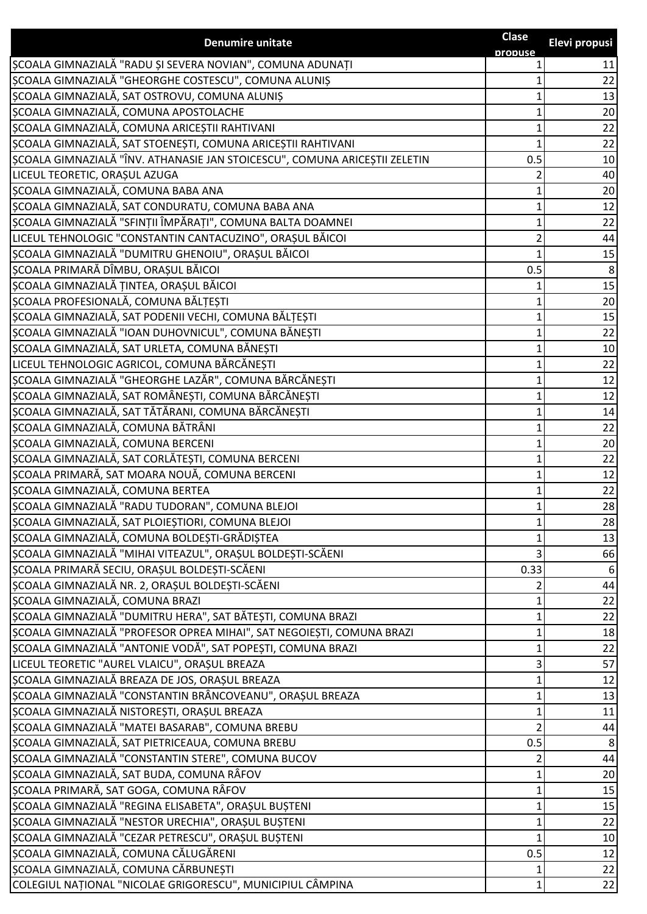| propuse                                                                           | Elevi propusi |
|-----------------------------------------------------------------------------------|---------------|
| ȘCOALA GIMNAZIALĂ "RADU ȘI SEVERA NOVIAN", COMUNA ADUNAȚI                         | 11            |
| ȘCOALA GIMNAZIALĂ "GHEORGHE COSTESCU", COMUNA ALUNIȘ                              | 22            |
| ȘCOALA GIMNAZIALĂ, SAT OSTROVU, COMUNA ALUNIȘ                                     | 13            |
| ȘCOALA GIMNAZIALĂ, COMUNA APOSTOLACHE                                             | 20            |
| ȘCOALA GIMNAZIALĂ, COMUNA ARICEȘTII RAHTIVANI                                     | 22            |
| ȘCOALA GIMNAZIALĂ, SAT STOENEȘTI, COMUNA ARICEȘTII RAHTIVANI                      | 22            |
| SCOALA GIMNAZIALĂ "ÎNV. ATHANASIE JAN STOICESCU", COMUNA ARICEȘTII ZELETIN<br>0.5 | 10            |
| LICEUL TEORETIC, ORAȘUL AZUGA                                                     | 40            |
| ȘCOALA GIMNAZIALĂ, COMUNA BABA ANA                                                | 20            |
| ȘCOALA GIMNAZIALĂ, SAT CONDURATU, COMUNA BABA ANA                                 | 12            |
| ȘCOALA GIMNAZIALĂ "SFINȚII ÎMPĂRAȚI", COMUNA BALTA DOAMNEI                        | 22            |
| LICEUL TEHNOLOGIC "CONSTANTIN CANTACUZINO", ORAȘUL BĂICOI                         | 44            |
| ȘCOALA GIMNAZIALĂ "DUMITRU GHENOIU", ORAȘUL BĂICOI                                | 15            |
| ȘCOALA PRIMARĂ DÎMBU, ORAȘUL BĂICOI<br>0.5                                        | 8             |
| ȘCOALA GIMNAZIALĂ ȚINTEA, ORAȘUL BĂICOI                                           | 15            |
| ȘCOALA PROFESIONALĂ, COMUNA BĂLȚEȘTI                                              | 20            |
| ȘCOALA GIMNAZIALĂ, SAT PODENII VECHI, COMUNA BĂLȚEȘTI                             | 15            |
| ȘCOALA GIMNAZIALĂ "IOAN DUHOVNICUL", COMUNA BĂNEȘTI                               | 22            |
| ȘCOALA GIMNAZIALĂ, SAT URLETA, COMUNA BĂNEȘTI                                     | 10            |
| LICEUL TEHNOLOGIC AGRICOL, COMUNA BĂRCĂNEȘTI                                      | 22            |
| ȘCOALA GIMNAZIALĂ "GHEORGHE LAZĂR", COMUNA BĂRCĂNEȘTI                             | 12            |
| ȘCOALA GIMNAZIALĂ, SAT ROMÂNEȘTI, COMUNA BĂRCĂNEȘTI                               | 12            |
| SCOALA GIMNAZIALĂ, SAT TĂTĂRANI, COMUNA BĂRCĂNEȘTI                                | 14            |
| ȘCOALA GIMNAZIALĂ, COMUNA BĂTRÂNI                                                 | 22            |
| ȘCOALA GIMNAZIALĂ, COMUNA BERCENI                                                 | 20            |
| SCOALA GIMNAZIALĂ, SAT CORLĂTEȘTI, COMUNA BERCENI                                 | 22            |
| ȘCOALA PRIMARĂ, SAT MOARA NOUĂ, COMUNA BERCENI                                    | 12            |
| ȘCOALA GIMNAZIALĂ, COMUNA BERTEA                                                  | 22            |
| ȘCOALA GIMNAZIALĂ "RADU TUDORAN", COMUNA BLEJOI                                   | 28            |
| ȘCOALA GIMNAZIALĂ, SAT PLOIEȘTIORI, COMUNA BLEJOI                                 | 28            |
| ȘCOALA GIMNAZIALĂ, COMUNA BOLDEȘTI-GRĂDIȘTEA                                      | 13            |
| ȘCOALA GIMNAZIALĂ "MIHAI VITEAZUL", ORAȘUL BOLDEȘTI-SCĂENI                        | 66            |
| ȘCOALA PRIMARĂ SECIU, ORAȘUL BOLDEȘTI-SCĂENI<br>0.33                              | 6             |
| SCOALA GIMNAZIALĂ NR. 2, ORAȘUL BOLDEȘTI-SCĂENI                                   | 44            |
| ȘCOALA GIMNAZIALĂ, COMUNA BRAZI                                                   | 22            |
| SCOALA GIMNAZIALĂ "DUMITRU HERA", SAT BĂTEȘTI, COMUNA BRAZI                       | 22            |
| ȘCOALA GIMNAZIALĂ "PROFESOR OPREA MIHAI", SAT NEGOIEȘTI, COMUNA BRAZI             | 18            |
| ȘCOALA GIMNAZIALĂ "ANTONIE VODĂ", SAT POPEȘTI, COMUNA BRAZI                       | 22            |
| LICEUL TEORETIC "AUREL VLAICU", ORAȘUL BREAZA                                     | 57            |
| ȘCOALA GIMNAZIALĂ BREAZA DE JOS, ORAȘUL BREAZA                                    | 12            |
| ȘCOALA GIMNAZIALĂ "CONSTANTIN BRÂNCOVEANU", ORAȘUL BREAZA                         | 13            |
| ȘCOALA GIMNAZIALĂ NISTOREȘTI, ORAȘUL BREAZA                                       | 11            |
| ȘCOALA GIMNAZIALĂ "MATEI BASARAB", COMUNA BREBU                                   | 44            |
| ȘCOALA GIMNAZIALĂ, SAT PIETRICEAUA, COMUNA BREBU<br>0.5                           | 8             |
| SCOALA GIMNAZIALĂ "CONSTANTIN STERE", COMUNA BUCOV                                | 44            |
| ȘCOALA GIMNAZIALĂ, SAT BUDA, COMUNA RÂFOV                                         | 20            |
| ȘCOALA PRIMARĂ, SAT GOGA, COMUNA RÂFOV<br>1                                       | 15            |
| ȘCOALA GIMNAZIALĂ "REGINA ELISABETA", ORAȘUL BUȘTENI                              | 15            |
| ȘCOALA GIMNAZIALĂ "NESTOR URECHIA", ORAȘUL BUȘTENI                                | 22            |
| ȘCOALA GIMNAZIALĂ "CEZAR PETRESCU", ORAȘUL BUȘTENI                                | 10            |
| ȘCOALA GIMNAZIALĂ, COMUNA CĂLUGĂRENI<br>0.5                                       | 12            |
| ȘCOALA GIMNAZIALĂ, COMUNA CĂRBUNEȘTI                                              | 22            |
| COLEGIUL NAȚIONAL "NICOLAE GRIGORESCU", MUNICIPIUL CÂMPINA<br>1                   | 22            |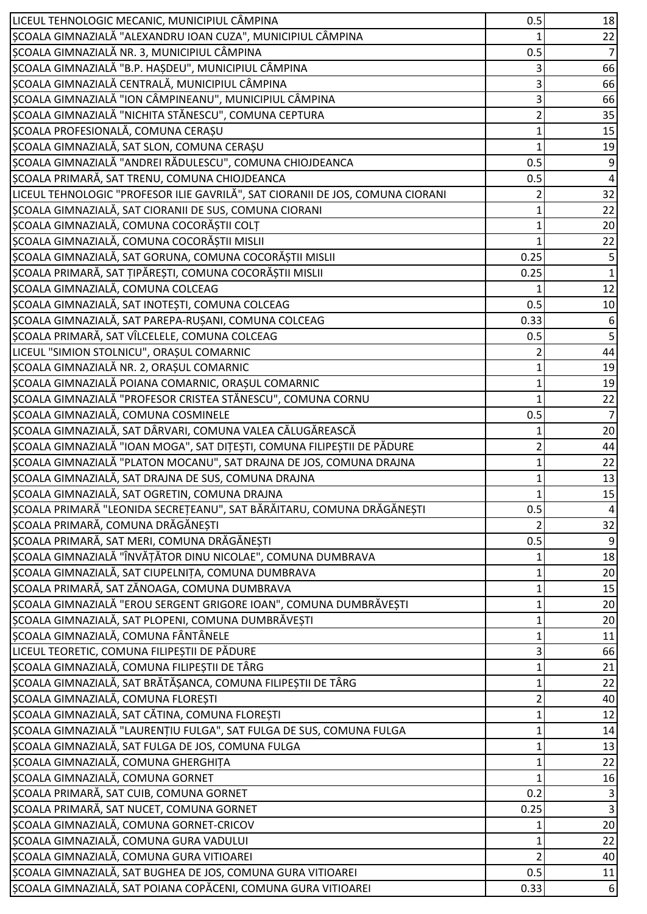| LICEUL TEHNOLOGIC MECANIC, MUNICIPIUL CÂMPINA                                  | 0.5  | 18               |
|--------------------------------------------------------------------------------|------|------------------|
| ȘCOALA GIMNAZIALĂ "ALEXANDRU IOAN CUZA", MUNICIPIUL CÂMPINA                    |      | 22               |
| ȘCOALA GIMNAZIALĂ NR. 3, MUNICIPIUL CÂMPINA                                    | 0.5  | 7                |
| ȘCOALA GIMNAZIALĂ "B.P. HAȘDEU", MUNICIPIUL CÂMPINA                            |      | 66               |
| ȘCOALA GIMNAZIALĂ CENTRALĂ, MUNICIPIUL CÂMPINA                                 |      | 66               |
| ȘCOALA GIMNAZIALĂ "ION CÂMPINEANU", MUNICIPIUL CÂMPINA                         | 3    | 66               |
| ȘCOALA GIMNAZIALĂ "NICHITA STĂNESCU", COMUNA CEPTURA                           |      | 35               |
| ȘCOALA PROFESIONALĂ, COMUNA CERAȘU                                             |      | 15               |
| ȘCOALA GIMNAZIALĂ, SAT SLON, COMUNA CERAȘU                                     |      | 19               |
| ȘCOALA GIMNAZIALĂ "ANDREI RĂDULESCU", COMUNA CHIOJDEANCA                       | 0.5  | 9                |
| ȘCOALA PRIMARĂ, SAT TRENU, COMUNA CHIOJDEANCA                                  | 0.5  | $\overline{4}$   |
| LICEUL TEHNOLOGIC "PROFESOR ILIE GAVRILĂ", SAT CIORANII DE JOS, COMUNA CIORANI |      | 32               |
| ȘCOALA GIMNAZIALĂ, SAT CIORANII DE SUS, COMUNA CIORANI                         |      | 22               |
| ȘCOALA GIMNAZIALĂ, COMUNA COCORĂȘTII COLȚ                                      |      | 20               |
| ȘCOALA GIMNAZIALĂ, COMUNA COCORĂȘTII MISLII                                    |      | 22               |
| ȘCOALA GIMNAZIALĂ, SAT GORUNA, COMUNA COCORĂȘTII MISLII                        | 0.25 | 5                |
| ȘCOALA PRIMARĂ, SAT ȚIPĂREȘTI, COMUNA COCORĂȘTII MISLII                        | 0.25 | $\mathbf{1}$     |
| ȘCOALA GIMNAZIALĂ, COMUNA COLCEAG                                              |      |                  |
|                                                                                |      | 12               |
| ȘCOALA GIMNAZIALĂ, SAT INOTEȘTI, COMUNA COLCEAG                                | 0.5  | $10\,$           |
| ȘCOALA GIMNAZIALĂ, SAT PAREPA-RUȘANI, COMUNA COLCEAG                           | 0.33 | 6                |
| ȘCOALA PRIMARĂ, SAT VÎLCELELE, COMUNA COLCEAG                                  | 0.5  | 5                |
| LICEUL "SIMION STOLNICU", ORAȘUL COMARNIC                                      |      | 44               |
| ȘCOALA GIMNAZIALĂ NR. 2, ORAȘUL COMARNIC                                       |      | 19               |
| ȘCOALA GIMNAZIALĂ POIANA COMARNIC, ORAȘUL COMARNIC                             |      | 19               |
| ȘCOALA GIMNAZIALĂ "PROFESOR CRISTEA STĂNESCU", COMUNA CORNU                    |      | 22               |
| ȘCOALA GIMNAZIALĂ, COMUNA COSMINELE                                            | 0.5  | 7                |
| SCOALA GIMNAZIALĂ, SAT DÂRVARI, COMUNA VALEA CĂLUGĂREASCĂ                      |      | 20               |
| ȘCOALA GIMNAZIALĂ "IOAN MOGA", SAT DIȚEȘTI, COMUNA FILIPEȘTII DE PĂDURE        |      | 44               |
| ȘCOALA GIMNAZIALĂ "PLATON MOCANU", SAT DRAJNA DE JOS, COMUNA DRAJNA            |      | 22               |
| ȘCOALA GIMNAZIALĂ, SAT DRAJNA DE SUS, COMUNA DRAJNA                            |      | 13               |
| ȘCOALA GIMNAZIALĂ, SAT OGRETIN, COMUNA DRAJNA                                  |      | 15               |
| SCOALA PRIMARĂ "LEONIDA SECREȚEANU", SAT BĂRĂITARU, COMUNA DRĂGĂNEȘTI          | 0.5  | 4                |
| SCOALA PRIMARĂ, COMUNA DRĂGĂNEȘTI                                              |      | 32               |
| SCOALA PRIMARĂ, SAT MERI, COMUNA DRĂGĂNEȘTI                                    | 0.5  |                  |
| SCOALA GIMNAZIALĂ "ÎNVĂȚĂTOR DINU NICOLAE", COMUNA DUMBRAVA                    |      | 18               |
| ȘCOALA GIMNAZIALĂ, SAT CIUPELNIȚA, COMUNA DUMBRAVA                             |      | 20               |
| ȘCOALA PRIMARĂ, SAT ZĂNOAGA, COMUNA DUMBRAVA                                   |      | 15               |
| ȘCOALA GIMNAZIALĂ "EROU SERGENT GRIGORE IOAN", COMUNA DUMBRĂVEȘTI              |      | 20               |
| SCOALA GIMNAZIALĂ, SAT PLOPENI, COMUNA DUMBRĂVEȘTI                             |      | $20\,$           |
| ȘCOALA GIMNAZIALĂ, COMUNA FÂNTÂNELE                                            |      | 11               |
| LICEUL TEORETIC, COMUNA FILIPEȘTII DE PĂDURE                                   |      | 66               |
| ȘCOALA GIMNAZIALĂ, COMUNA FILIPEȘTII DE TÂRG                                   |      | 21               |
| ȘCOALA GIMNAZIALĂ, SAT BRĂTĂȘANCA, COMUNA FILIPEȘTII DE TÂRG                   |      | 22               |
| ȘCOALA GIMNAZIALĂ, COMUNA FLOREȘTI                                             |      | 40               |
| ȘCOALA GIMNAZIALĂ, SAT CĂTINA, COMUNA FLOREȘTI                                 |      | 12               |
| ȘCOALA GIMNAZIALĂ "LAURENȚIU FULGA", SAT FULGA DE SUS, COMUNA FULGA            |      | 14               |
| ȘCOALA GIMNAZIALĂ, SAT FULGA DE JOS, COMUNA FULGA                              |      | 13               |
| ȘCOALA GIMNAZIALĂ, COMUNA GHERGHIȚA                                            |      | 22               |
| ȘCOALA GIMNAZIALĂ, COMUNA GORNET                                               |      | 16               |
| ȘCOALA PRIMARĂ, SAT CUIB, COMUNA GORNET                                        | 0.2  | 3                |
| ȘCOALA PRIMARĂ, SAT NUCET, COMUNA GORNET                                       | 0.25 | $\mathsf 3$      |
| ȘCOALA GIMNAZIALĂ, COMUNA GORNET-CRICOV                                        |      | 20               |
| SCOALA GIMNAZIALĂ, COMUNA GURA VADULUI                                         |      | 22               |
| SCOALA GIMNAZIALĂ, COMUNA GURA VITIOAREI                                       | 2    | 40               |
| ȘCOALA GIMNAZIALĂ, SAT BUGHEA DE JOS, COMUNA GURA VITIOAREI                    | 0.5  | $11\,$           |
| ȘCOALA GIMNAZIALĂ, SAT POIANA COPĂCENI, COMUNA GURA VITIOAREI                  | 0.33 | $6 \overline{6}$ |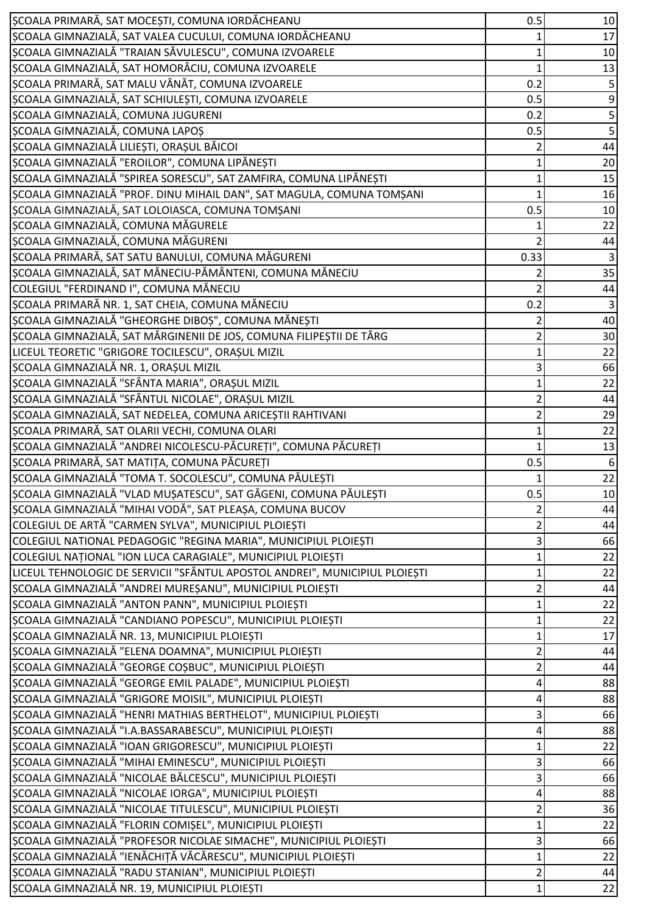| ȘCOALA PRIMARĂ, SAT MOCEȘTI, COMUNA IORDĂCHEANU                             | 0.5  | 10             |
|-----------------------------------------------------------------------------|------|----------------|
| ȘCOALA GIMNAZIALĂ, SAT VALEA CUCULUI, COMUNA IORDĂCHEANU                    |      | 17             |
| ȘCOALA GIMNAZIALĂ "TRAIAN SĂVULESCU", COMUNA IZVOARELE                      |      | 10             |
| ȘCOALA GIMNAZIALĂ, SAT HOMORÂCIU, COMUNA IZVOARELE                          |      | 13             |
| ȘCOALA PRIMARĂ, SAT MALU VÂNĂT, COMUNA IZVOARELE                            | 0.2  |                |
| ȘCOALA GIMNAZIALĂ, SAT SCHIULEȘTI, COMUNA IZVOARELE                         | 0.5  | 9              |
| ȘCOALA GIMNAZIALĂ, COMUNA JUGURENI                                          | 0.2  | 5              |
| ȘCOALA GIMNAZIALĂ, COMUNA LAPOȘ                                             | 0.5  | 5              |
| ȘCOALA GIMNAZIALĂ LILIEȘTI, ORAȘUL BĂICOI                                   |      | 44             |
| ȘCOALA GIMNAZIALĂ "EROILOR", COMUNA LIPĂNEȘTI                               |      | 20             |
| ȘCOALA GIMNAZIALĂ "SPIREA SORESCU", SAT ZAMFIRA, COMUNA LIPĂNEȘTI           |      | 15             |
| ȘCOALA GIMNAZIALĂ "PROF. DINU MIHAIL DAN", SAT MAGULA, COMUNA TOMȘANI       |      | 16             |
| ȘCOALA GIMNAZIALĂ, SAT LOLOIASCA, COMUNA TOMȘANI                            | 0.5  | 10             |
| ȘCOALA GIMNAZIALĂ, COMUNA MĂGURELE                                          |      | 22             |
| ȘCOALA GIMNAZIALĂ, COMUNA MĂGURENI                                          |      | 44             |
| ȘCOALA PRIMARĂ, SAT SATU BANULUI, COMUNA MĂGURENI                           | 0.33 |                |
| ȘCOALA GIMNAZIALĂ, SAT MĂNECIU-PĂMÂNTENI, COMUNA MĂNECIU                    |      | 35             |
| COLEGIUL "FERDINAND I", COMUNA MĂNECIU                                      |      | 44             |
| ȘCOALA PRIMARĂ NR. 1, SAT CHEIA, COMUNA MĂNECIU                             | 0.2  | $\overline{3}$ |
| ȘCOALA GIMNAZIALĂ "GHEORGHE DIBOȘ", COMUNA MĂNEȘTI                          |      | 40             |
| ȘCOALA GIMNAZIALĂ, SAT MĂRGINENII DE JOS, COMUNA FILIPEȘTII DE TÂRG         |      | 30             |
| LICEUL TEORETIC "GRIGORE TOCILESCU", ORAȘUL MIZIL                           |      | 22             |
| ȘCOALA GIMNAZIALĂ NR. 1, ORAȘUL MIZIL                                       |      | 66             |
| ȘCOALA GIMNAZIALĂ "SFÂNTA MARIA", ORAȘUL MIZIL                              |      | 22             |
| ȘCOALA GIMNAZIALĂ "SFÂNTUL NICOLAE", ORAȘUL MIZIL                           |      | 44             |
| ȘCOALA GIMNAZIALĂ, SAT NEDELEA, COMUNA ARICEȘTII RAHTIVANI                  |      | 29             |
| ȘCOALA PRIMARĂ, SAT OLARII VECHI, COMUNA OLARI                              |      | 22             |
| SCOALA GIMNAZIALĂ "ANDREI NICOLESCU-PĂCUREȚI", COMUNA PĂCUREȚI              |      | 13             |
| ȘCOALA PRIMARĂ, SAT MATIȚA, COMUNA PĂCUREȚI                                 | 0.5  | 6              |
| ȘCOALA GIMNAZIALĂ "TOMA T. SOCOLESCU", COMUNA PĂULEȘTI                      |      | 22             |
| ȘCOALA GIMNAZIALĂ "VLAD MUȘATESCU", SAT GĂGENI, COMUNA PĂULEȘTI             | 0.5  | 10             |
| ȘCOALA GIMNAZIALĂ "MIHAI VODĂ", SAT PLEAȘA, COMUNA BUCOV                    | 2    | 44             |
| COLEGIUL DE ARTĂ "CARMEN SYLVA", MUNICIPIUL PLOIEȘTI                        |      | 44             |
| COLEGIUL NATIONAL PEDAGOGIC "REGINA MARIA", MUNICIPIUL PLOIEȘTI             | 3    | 66             |
| COLEGIUL NAȚIONAL "ION LUCA CARAGIALE", MUNICIPIUL PLOIEȘTI                 |      | 22             |
| LICEUL TEHNOLOGIC DE SERVICII "SFÂNTUL APOSTOL ANDREI", MUNICIPIUL PLOIEȘTI |      | 22             |
| ȘCOALA GIMNAZIALĂ "ANDREI MUREȘANU", MUNICIPIUL PLOIEȘTI                    | 2    | 44             |
| ȘCOALA GIMNAZIALĂ "ANTON PANN", MUNICIPIUL PLOIEȘTI                         |      | 22             |
| ȘCOALA GIMNAZIALĂ "CANDIANO POPESCU", MUNICIPIUL PLOIEȘTI                   |      | 22             |
| SCOALA GIMNAZIALĂ NR. 13, MUNICIPIUL PLOIEȘTI                               |      | 17             |
| SCOALA GIMNAZIALĂ "ELENA DOAMNA", MUNICIPIUL PLOIEȘTI                       | 2    | 44             |
| ȘCOALA GIMNAZIALĂ "GEORGE COȘBUC", MUNICIPIUL PLOIEȘTI                      | 2    | 44             |
| SCOALA GIMNAZIALĂ "GEORGE EMIL PALADE", MUNICIPIUL PLOIEȘTI                 | 4    | 88             |
| ȘCOALA GIMNAZIALĂ "GRIGORE MOISIL", MUNICIPIUL PLOIEȘTI                     | 4    | 88             |
| ȘCOALA GIMNAZIALĂ "HENRI MATHIAS BERTHELOT", MUNICIPIUL PLOIEȘTI            | 3    | 66             |
| ȘCOALA GIMNAZIALĂ "I.A.BASSARABESCU", MUNICIPIUL PLOIEȘTI                   | 4    | 88             |
| ȘCOALA GIMNAZIALĂ "IOAN GRIGORESCU", MUNICIPIUL PLOIEȘTI                    |      | 22             |
| ȘCOALA GIMNAZIALĂ "MIHAI EMINESCU", MUNICIPIUL PLOIEȘTI                     | 3    | 66             |
| ȘCOALA GIMNAZIALĂ "NICOLAE BĂLCESCU", MUNICIPIUL PLOIEȘTI                   |      | 66             |
| ȘCOALA GIMNAZIALĂ "NICOLAE IORGA", MUNICIPIUL PLOIEȘTI                      |      | 88             |
| ȘCOALA GIMNAZIALĂ "NICOLAE TITULESCU", MUNICIPIUL PLOIEȘTI                  |      | 36             |
| ȘCOALA GIMNAZIALĂ "FLORIN COMIȘEL", MUNICIPIUL PLOIEȘTI                     |      | 22             |
| ȘCOALA GIMNAZIALĂ "PROFESOR NICOLAE SIMACHE", MUNICIPIUL PLOIEȘTI           | 3    | 66             |
| ȘCOALA GIMNAZIALĂ "IENĂCHIȚĂ VĂCĂRESCU", MUNICIPIUL PLOIEȘTI                |      | 22             |
| ȘCOALA GIMNAZIALĂ "RADU STANIAN", MUNICIPIUL PLOIEȘTI                       | 2    | 44             |
| ȘCOALA GIMNAZIALĂ NR. 19, MUNICIPIUL PLOIEȘTI                               |      | 22             |
|                                                                             |      |                |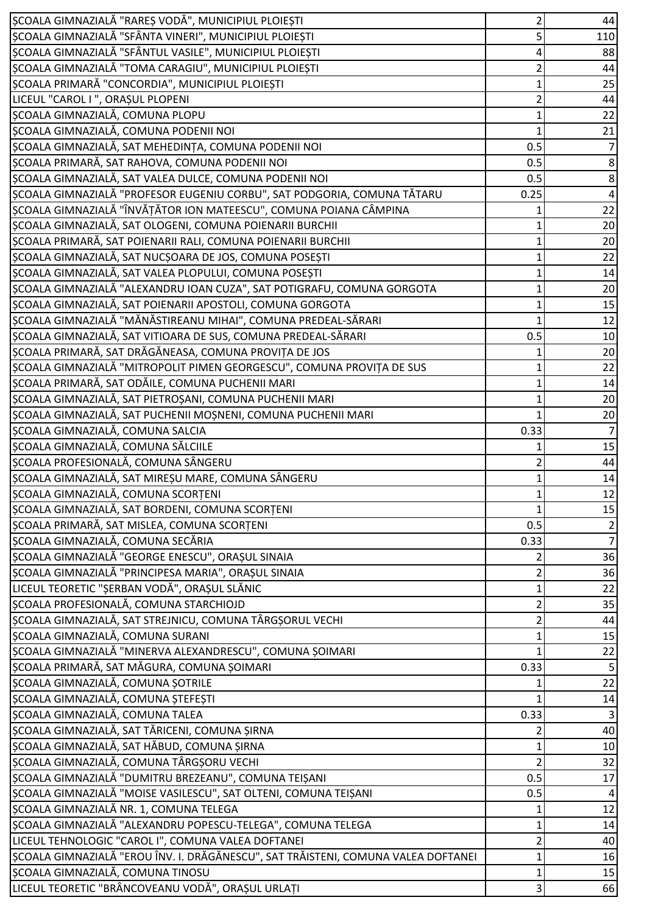| ȘCOALA GIMNAZIALĂ "RAREȘ VODĂ", MUNICIPIUL PLOIEȘTI                                                                     | 2    | 44                   |
|-------------------------------------------------------------------------------------------------------------------------|------|----------------------|
| ȘCOALA GIMNAZIALĂ "SFÂNTA VINERI", MUNICIPIUL PLOIEȘTI                                                                  |      | 110                  |
| ȘCOALA GIMNAZIALĂ "SFÂNTUL VASILE", MUNICIPIUL PLOIEȘTI                                                                 |      | 88                   |
| ȘCOALA GIMNAZIALĂ "TOMA CARAGIU", MUNICIPIUL PLOIEȘTI                                                                   |      | 44                   |
| ȘCOALA PRIMARĂ "CONCORDIA", MUNICIPIUL PLOIEȘTI                                                                         |      | 25                   |
| LICEUL "CAROL I", ORAȘUL PLOPENI                                                                                        |      | 44                   |
| ȘCOALA GIMNAZIALĂ, COMUNA PLOPU                                                                                         |      | 22                   |
| ȘCOALA GIMNAZIALĂ, COMUNA PODENII NOI                                                                                   |      | 21                   |
| ȘCOALA GIMNAZIALĂ, SAT MEHEDINȚA, COMUNA PODENII NOI                                                                    | 0.5  | 7                    |
| ȘCOALA PRIMARĂ, SAT RAHOVA, COMUNA PODENII NOI                                                                          | 0.5  | 8                    |
| ȘCOALA GIMNAZIALĂ, SAT VALEA DULCE, COMUNA PODENII NOI                                                                  | 0.5  | 8                    |
| ȘCOALA GIMNAZIALĂ "PROFESOR EUGENIU CORBU", SAT PODGORIA, COMUNA TĂTARU                                                 | 0.25 | 4                    |
| SCOALA GIMNAZIALĂ "ÎNVĂȚĂTOR ION MATEESCU", COMUNA POIANA CÂMPINA                                                       |      | 22                   |
| ȘCOALA GIMNAZIALĂ, SAT OLOGENI, COMUNA POIENARII BURCHII                                                                |      | 20                   |
| ȘCOALA PRIMARĂ, SAT POIENARII RALI, COMUNA POIENARII BURCHII                                                            |      | 20                   |
| ȘCOALA GIMNAZIALĂ, SAT NUCȘOARA DE JOS, COMUNA POSEȘTI                                                                  |      | $\overline{22}$      |
| ȘCOALA GIMNAZIALĂ, SAT VALEA PLOPULUI, COMUNA POSEȘTI                                                                   |      | 14                   |
| ȘCOALA GIMNAZIALĂ "ALEXANDRU IOAN CUZA", SAT POTIGRAFU, COMUNA GORGOTA                                                  |      | 20                   |
| ȘCOALA GIMNAZIALĂ, SAT POIENARII APOSTOLI, COMUNA GORGOTA                                                               |      | 15                   |
| ȘCOALA GIMNAZIALĂ "MĂNĂSTIREANU MIHAI", COMUNA PREDEAL-SĂRARI                                                           |      | 12                   |
| ȘCOALA GIMNAZIALĂ, SAT VITIOARA DE SUS, COMUNA PREDEAL-SĂRARI                                                           | 0.5  | 10                   |
| ȘCOALA PRIMARĂ, SAT DRĂGĂNEASA, COMUNA PROVIȚA DE JOS                                                                   |      | 20                   |
| ȘCOALA GIMNAZIALĂ "MITROPOLIT PIMEN GEORGESCU", COMUNA PROVIȚA DE SUS                                                   |      | 22                   |
| ȘCOALA PRIMARĂ, SAT ODĂILE, COMUNA PUCHENII MARI                                                                        |      | 14                   |
| ȘCOALA GIMNAZIALĂ, SAT PIETROȘANI, COMUNA PUCHENII MARI                                                                 |      |                      |
| ȘCOALA GIMNAZIALĂ, SAT PUCHENII MOȘNENI, COMUNA PUCHENII MARI                                                           |      | 20                   |
| ȘCOALA GIMNAZIALĂ, COMUNA SALCIA                                                                                        | 0.33 | 20<br>$\overline{7}$ |
| ȘCOALA GIMNAZIALĂ, COMUNA SĂLCIILE                                                                                      |      | 15                   |
| ȘCOALA PROFESIONALĂ, COMUNA SÂNGERU                                                                                     |      | 44                   |
| ȘCOALA GIMNAZIALĂ, SAT MIREȘU MARE, COMUNA SÂNGERU                                                                      |      | 14                   |
| SCOALA GIMNAZIALĂ, COMUNA SCORȚENI                                                                                      |      | 12                   |
| ȘCOALA GIMNAZIALĂ, SAT BORDENI, COMUNA SCORȚENI                                                                         |      | 15                   |
| ȘCOALA PRIMARĂ, SAT MISLEA, COMUNA SCORȚENI                                                                             | 0.5  |                      |
| ȘCOALA GIMNAZIALĂ, COMUNA SECĂRIA                                                                                       | 0.33 | 7                    |
| ȘCOALA GIMNAZIALĂ "GEORGE ENESCU", ORAȘUL SINAIA                                                                        |      | 36                   |
| ȘCOALA GIMNAZIALĂ "PRINCIPESA MARIA", ORAȘUL SINAIA                                                                     |      | 36                   |
| LICEUL TEORETIC "ȘERBAN VODĂ", ORAȘUL SLĂNIC                                                                            |      | 22                   |
| SCOALA PROFESIONALĂ, COMUNA STARCHIOJD                                                                                  |      | 35                   |
| SCOALA GIMNAZIALĂ, SAT STREJNICU, COMUNA TÂRGȘORUL VECHI                                                                |      | 44                   |
| SCOALA GIMNAZIALĂ, COMUNA SURANI                                                                                        |      | 15                   |
| ȘCOALA GIMNAZIALĂ "MINERVA ALEXANDRESCU", COMUNA ȘOIMARI                                                                |      | 22                   |
| ȘCOALA PRIMARĂ, SAT MĂGURA, COMUNA ȘOIMARI                                                                              | 0.33 | 5                    |
| ȘCOALA GIMNAZIALĂ, COMUNA ȘOTRILE                                                                                       |      | 22                   |
| ȘCOALA GIMNAZIALĂ, COMUNA ȘTEFEȘTI                                                                                      |      |                      |
| ȘCOALA GIMNAZIALĂ, COMUNA TALEA                                                                                         |      | 14                   |
|                                                                                                                         | 0.33 |                      |
| ȘCOALA GIMNAZIALĂ, SAT TĂRICENI, COMUNA ȘIRNA<br>ȘCOALA GIMNAZIALĂ, SAT HĂBUD, COMUNA ȘIRNA                             |      | 40                   |
|                                                                                                                         |      | 10                   |
| ȘCOALA GIMNAZIALĂ, COMUNA TÂRGȘORU VECHI                                                                                |      | 32                   |
| ȘCOALA GIMNAZIALĂ "DUMITRU BREZEANU", COMUNA TEIȘANI<br>SCOALA GIMNAZIALĂ "MOISE VASILESCU", SAT OLTENI, COMUNA TEIȘANI | 0.5  | 17                   |
| ȘCOALA GIMNAZIALĂ NR. 1, COMUNA TELEGA                                                                                  | 0.5  | 4<br>12              |
| ȘCOALA GIMNAZIALĂ "ALEXANDRU POPESCU-TELEGA", COMUNA TELEGA                                                             |      | 14                   |
| LICEUL TEHNOLOGIC "CAROL I", COMUNA VALEA DOFTANEI                                                                      |      | 40                   |
| ȘCOALA GIMNAZIALĂ "EROU ÎNV. I. DRĂGĂNESCU", SAT TRĂISTENI, COMUNA VALEA DOFTANEI                                       | 2    | 16                   |
| ȘCOALA GIMNAZIALĂ, COMUNA TINOSU                                                                                        |      | 15                   |
| LICEUL TEORETIC "BRÂNCOVEANU VODĂ", ORAȘUL URLAȚI                                                                       |      | 66                   |
|                                                                                                                         | 3    |                      |